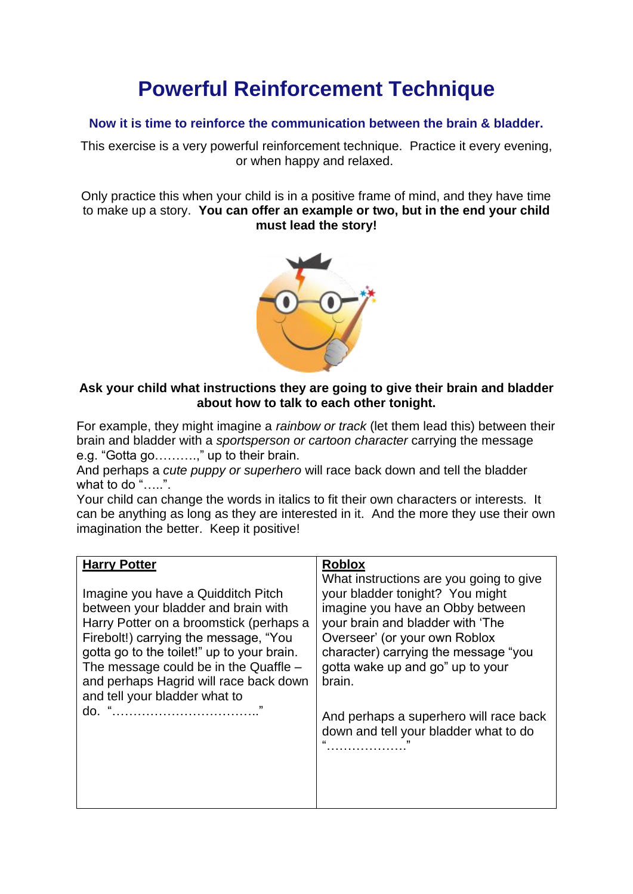## **Powerful Reinforcement Technique**

## **Now it is time to reinforce the communication between the brain & bladder.**

This exercise is a very powerful reinforcement technique. Practice it every evening, or when happy and relaxed.

Only practice this when your child is in a positive frame of mind, and they have time to make up a story. **You can offer an example or two, but in the end your child must lead the story!**



## **Ask your child what instructions they are going to give their brain and bladder about how to talk to each other tonight.**

For example, they might imagine a *rainbow or track* (let them lead this) between their brain and bladder with a *sportsperson or cartoon character* carrying the message e.g. "Gotta go……….," up to their brain.

And perhaps a *cute puppy or superhero* will race back down and tell the bladder what to do "…..".

Your child can change the words in italics to fit their own characters or interests. It can be anything as long as they are interested in it. And the more they use their own imagination the better. Keep it positive!

| <b>Harry Potter</b>                        | <b>Roblox</b>                           |
|--------------------------------------------|-----------------------------------------|
| Imagine you have a Quidditch Pitch         | What instructions are you going to give |
| between your bladder and brain with        | your bladder tonight? You might         |
| Harry Potter on a broomstick (perhaps a    | imagine you have an Obby between        |
| Firebolt!) carrying the message, "You      | your brain and bladder with 'The        |
| gotta go to the toilet!" up to your brain. | Overseer' (or your own Roblox           |
| The message could be in the Quaffle $-$    | character) carrying the message "you    |
| and perhaps Hagrid will race back down     | gotta wake up and go" up to your        |
| and tell your bladder what to              | brain.                                  |
| 99                                         | And perhaps a superhero will race back  |
| do. "                                      | down and tell your bladder what to do   |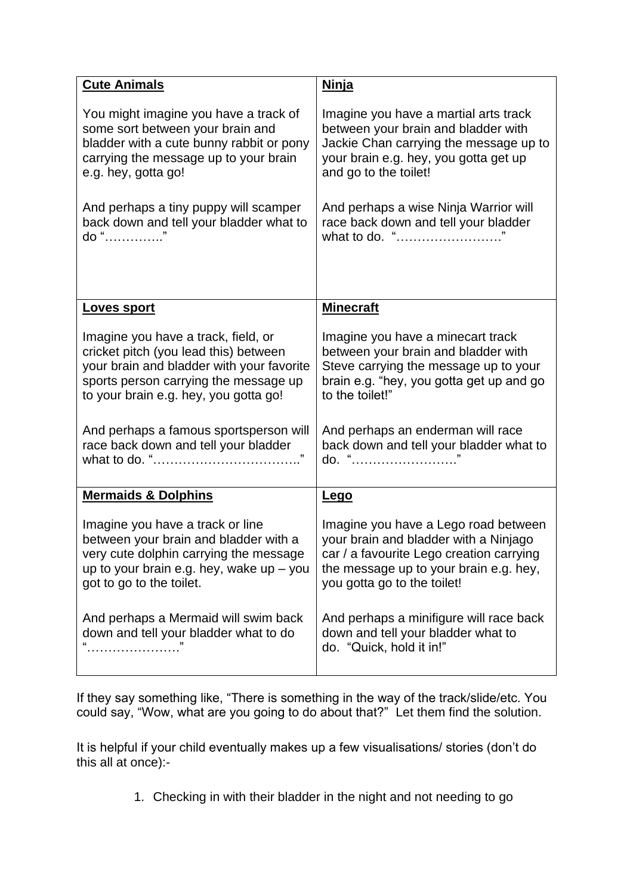| <b>Cute Animals</b>                        | <b>Ninja</b>                             |
|--------------------------------------------|------------------------------------------|
| You might imagine you have a track of      | Imagine you have a martial arts track    |
| some sort between your brain and           | between your brain and bladder with      |
| bladder with a cute bunny rabbit or pony   | Jackie Chan carrying the message up to   |
| carrying the message up to your brain      | your brain e.g. hey, you gotta get up    |
| e.g. hey, gotta go!                        | and go to the toilet!                    |
| And perhaps a tiny puppy will scamper      | And perhaps a wise Ninja Warrior will    |
| back down and tell your bladder what to    | race back down and tell your bladder     |
| do "                                       | what to do. "                            |
| <u>Loves sport</u>                         | <b>Minecraft</b>                         |
| Imagine you have a track, field, or        | Imagine you have a minecart track        |
| cricket pitch (you lead this) between      | between your brain and bladder with      |
| your brain and bladder with your favorite  | Steve carrying the message up to your    |
| sports person carrying the message up      | brain e.g. "hey, you gotta get up and go |
| to your brain e.g. hey, you gotta go!      | to the toilet!"                          |
| And perhaps a famous sportsperson will     | And perhaps an enderman will race        |
| race back down and tell your bladder       | back down and tell your bladder what to  |
|                                            | do. "                                    |
| <b>Mermaids &amp; Dolphins</b>             | <u>Lego</u>                              |
| Imagine you have a track or line           | Imagine you have a Lego road between     |
| between your brain and bladder with a      | your brain and bladder with a Ninjago    |
| very cute dolphin carrying the message     | car / a favourite Lego creation carrying |
| up to your brain e.g. hey, wake up $-$ you | the message up to your brain e.g. hey,   |
| got to go to the toilet.                   | you gotta go to the toilet!              |
| And perhaps a Mermaid will swim back       | And perhaps a minifigure will race back  |
| down and tell your bladder what to do      | down and tell your bladder what to       |
|                                            | do. "Quick, hold it in!"                 |

If they say something like, "There is something in the way of the track/slide/etc. You could say, "Wow, what are you going to do about that?" Let them find the solution.

It is helpful if your child eventually makes up a few visualisations/ stories (don't do this all at once):-

1. Checking in with their bladder in the night and not needing to go